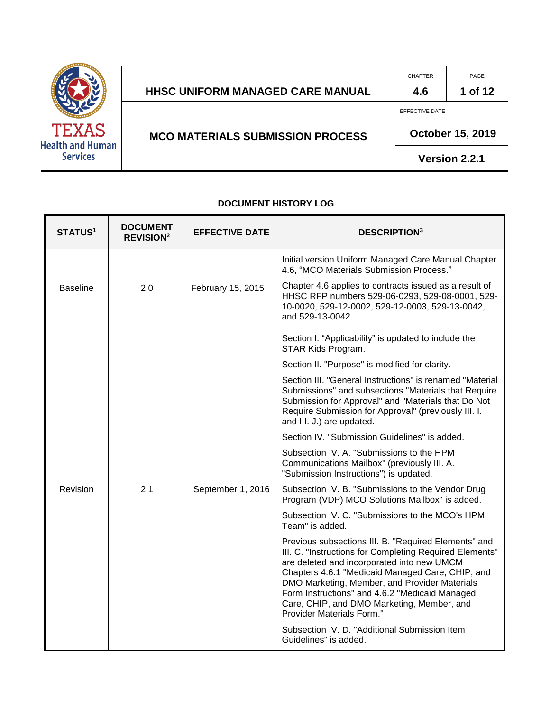

|                                         | <b>CHAPTER</b>   | PAGE                 |
|-----------------------------------------|------------------|----------------------|
| <b>HHSC UNIFORM MANAGED CARE MANUAL</b> | 4.6              | 1 of 12              |
|                                         | EFFECTIVE DATE   |                      |
| <b>MCO MATERIALS SUBMISSION PROCESS</b> | October 15, 2019 |                      |
|                                         |                  | <b>Version 2.2.1</b> |

#### **DOCUMENT HISTORY LOG**

| <b>STATUS<sup>1</sup></b> | <b>DOCUMENT</b><br><b>REVISION<sup>2</sup></b> | <b>EFFECTIVE DATE</b> | <b>DESCRIPTION3</b>                                                                                                                                                                                                                                                                                                                                                                             |
|---------------------------|------------------------------------------------|-----------------------|-------------------------------------------------------------------------------------------------------------------------------------------------------------------------------------------------------------------------------------------------------------------------------------------------------------------------------------------------------------------------------------------------|
|                           |                                                |                       | Initial version Uniform Managed Care Manual Chapter<br>4.6, "MCO Materials Submission Process."                                                                                                                                                                                                                                                                                                 |
| <b>Baseline</b>           | 2.0                                            | February 15, 2015     | Chapter 4.6 applies to contracts issued as a result of<br>HHSC RFP numbers 529-06-0293, 529-08-0001, 529-<br>10-0020, 529-12-0002, 529-12-0003, 529-13-0042,<br>and 529-13-0042.                                                                                                                                                                                                                |
|                           |                                                |                       | Section I. "Applicability" is updated to include the<br>STAR Kids Program.                                                                                                                                                                                                                                                                                                                      |
|                           |                                                |                       | Section II. "Purpose" is modified for clarity.                                                                                                                                                                                                                                                                                                                                                  |
|                           |                                                |                       | Section III. "General Instructions" is renamed "Material<br>Submissions" and subsections "Materials that Require<br>Submission for Approval" and "Materials that Do Not<br>Require Submission for Approval" (previously III. I.<br>and III. J.) are updated.                                                                                                                                    |
|                           |                                                |                       | Section IV. "Submission Guidelines" is added.                                                                                                                                                                                                                                                                                                                                                   |
|                           |                                                |                       | Subsection IV. A. "Submissions to the HPM<br>Communications Mailbox" (previously III. A.<br>"Submission Instructions") is updated.                                                                                                                                                                                                                                                              |
| Revision                  | 2.1                                            | September 1, 2016     | Subsection IV. B. "Submissions to the Vendor Drug<br>Program (VDP) MCO Solutions Mailbox" is added.                                                                                                                                                                                                                                                                                             |
|                           |                                                |                       | Subsection IV, C. "Submissions to the MCO's HPM<br>Team" is added.                                                                                                                                                                                                                                                                                                                              |
|                           |                                                |                       | Previous subsections III. B. "Required Elements" and<br>III. C. "Instructions for Completing Required Elements"<br>are deleted and incorporated into new UMCM<br>Chapters 4.6.1 "Medicaid Managed Care, CHIP, and<br>DMO Marketing, Member, and Provider Materials<br>Form Instructions" and 4.6.2 "Medicaid Managed<br>Care, CHIP, and DMO Marketing, Member, and<br>Provider Materials Form." |
|                           |                                                |                       | Subsection IV. D. "Additional Submission Item<br>Guidelines" is added.                                                                                                                                                                                                                                                                                                                          |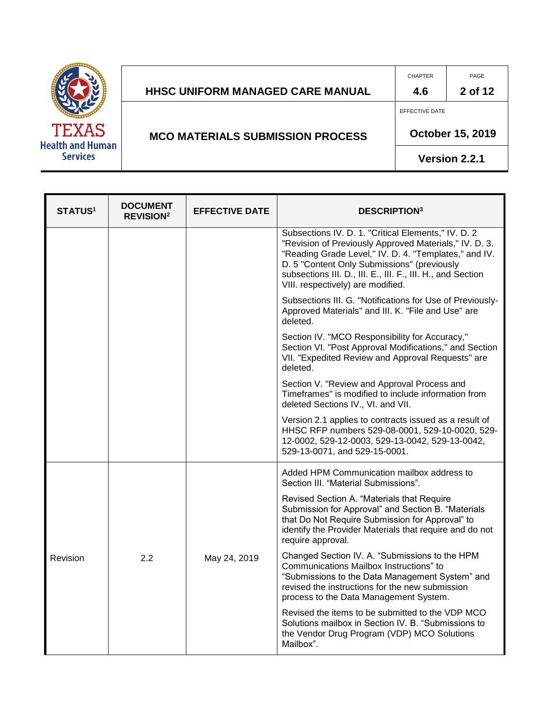|                                         |                                         | <b>CHAPTER</b> | PAGE                    |
|-----------------------------------------|-----------------------------------------|----------------|-------------------------|
|                                         | HHSC UNIFORM MANAGED CARE MANUAL        | 4.6            | 2 of 12                 |
|                                         |                                         | EFFECTIVE DATE |                         |
| <b>TEXAS</b><br><b>Health and Human</b> | <b>MCO MATERIALS SUBMISSION PROCESS</b> |                | <b>October 15, 2019</b> |
| <b>Services</b>                         |                                         |                | Version 2.2.1           |

| <b>STATUS1</b> | <b>DOCUMENT</b><br><b>REVISION<sup>2</sup></b> | <b>EFFECTIVE DATE</b> | <b>DESCRIPTION3</b>                                                                                                                                                                                                                                                                                                       |  |
|----------------|------------------------------------------------|-----------------------|---------------------------------------------------------------------------------------------------------------------------------------------------------------------------------------------------------------------------------------------------------------------------------------------------------------------------|--|
|                |                                                |                       | Subsections IV. D. 1. "Critical Elements," IV. D. 2<br>"Revision of Previously Approved Materials," IV. D. 3.<br>"Reading Grade Level," IV. D. 4. "Templates," and IV.<br>D. 5 "Content Only Submissions" (previously<br>subsections III. D., III. E., III. F., III. H., and Section<br>VIII. respectively) are modified. |  |
|                |                                                |                       | Subsections III. G. "Notifications for Use of Previously-<br>Approved Materials" and III. K. "File and Use" are<br>deleted.                                                                                                                                                                                               |  |
|                |                                                |                       | Section IV. "MCO Responsibility for Accuracy,"<br>Section VI. "Post Approval Modifications," and Section<br>VII. "Expedited Review and Approval Requests" are<br>deleted.                                                                                                                                                 |  |
|                |                                                |                       | Section V. "Review and Approval Process and<br>Timeframes" is modified to include information from<br>deleted Sections IV., VI. and VII.                                                                                                                                                                                  |  |
|                |                                                |                       | Version 2.1 applies to contracts issued as a result of<br>HHSC RFP numbers 529-08-0001, 529-10-0020, 529-<br>12-0002, 529-12-0003, 529-13-0042, 529-13-0042,<br>529-13-0071, and 529-15-0001.                                                                                                                             |  |
|                |                                                |                       | Added HPM Communication mailbox address to<br>Section III. "Material Submissions".                                                                                                                                                                                                                                        |  |
|                |                                                |                       | Revised Section A. "Materials that Require<br>Submission for Approval" and Section B. "Materials<br>that Do Not Require Submission for Approval" to<br>identify the Provider Materials that require and do not<br>require approval.                                                                                       |  |
| Revision       | 2.2                                            | May 24, 2019          | Changed Section IV. A. "Submissions to the HPM<br>Communications Mailbox Instructions" to<br>"Submissions to the Data Management System" and<br>revised the instructions for the new submission<br>process to the Data Management System.                                                                                 |  |
|                |                                                |                       | Revised the items to be submitted to the VDP MCO<br>Solutions mailbox in Section IV. B. "Submissions to<br>the Vendor Drug Program (VDP) MCO Solutions<br>Mailbox".                                                                                                                                                       |  |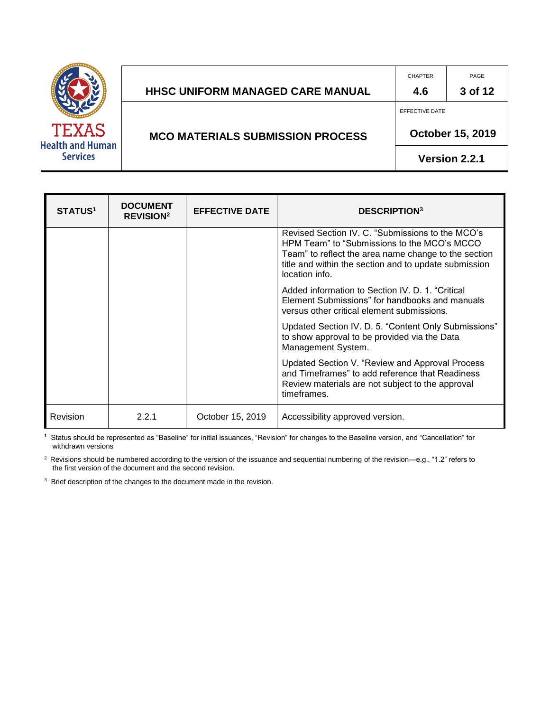|                                         |                                         | <b>CHAPTER</b> | PAGE                    |
|-----------------------------------------|-----------------------------------------|----------------|-------------------------|
|                                         | HHSC UNIFORM MANAGED CARE MANUAL        | 4.6            | 3 of 12                 |
|                                         |                                         | EFFECTIVE DATE |                         |
| <b>TEXAS</b><br><b>Health and Human</b> | <b>MCO MATERIALS SUBMISSION PROCESS</b> |                | <b>October 15, 2019</b> |
| <b>Services</b>                         |                                         |                | Version 2.2.1           |

| <b>STATUS<sup>1</sup></b> | <b>DOCUMENT</b><br><b>REVISION<sup>2</sup></b> | <b>EFFECTIVE DATE</b> | <b>DESCRIPTION</b> <sup>3</sup>                                                                                                                                                                                                    |
|---------------------------|------------------------------------------------|-----------------------|------------------------------------------------------------------------------------------------------------------------------------------------------------------------------------------------------------------------------------|
|                           |                                                |                       | Revised Section IV. C. "Submissions to the MCO's<br>HPM Team" to "Submissions to the MCO's MCCO<br>Team" to reflect the area name change to the section<br>title and within the section and to update submission<br>location info. |
|                           |                                                |                       | Added information to Section IV. D. 1. "Critical<br>Element Submissions" for handbooks and manuals<br>versus other critical element submissions.                                                                                   |
|                           |                                                |                       | Updated Section IV. D. 5. "Content Only Submissions"<br>to show approval to be provided via the Data<br>Management System.                                                                                                         |
|                           |                                                |                       | Updated Section V. "Review and Approval Process<br>and Timeframes" to add reference that Readiness<br>Review materials are not subject to the approval<br>timeframes.                                                              |
| Revision                  | 2.2.1                                          | October 15, 2019      | Accessibility approved version.                                                                                                                                                                                                    |

**1** Status should be represented as "Baseline" for initial issuances, "Revision" for changes to the Baseline version, and "Cancellation" for withdrawn versions

<sup>2</sup> Revisions should be numbered according to the version of the issuance and sequential numbering of the revision—e.g., "1.2" refers to the first version of the document and the second revision.

<sup>3</sup> Brief description of the changes to the document made in the revision.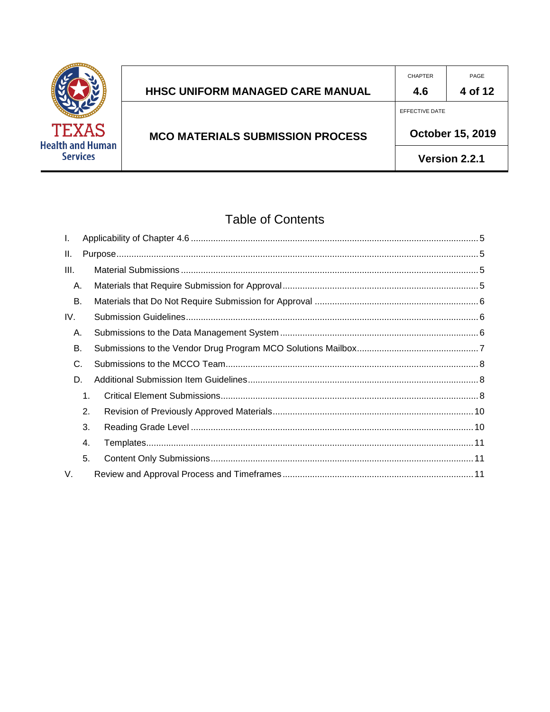

|                                         | <b>CHAPTER</b>          | PAGE    |
|-----------------------------------------|-------------------------|---------|
| <b>HHSC UNIFORM MANAGED CARE MANUAL</b> | 4.6                     | 4 of 12 |
|                                         | EFFECTIVE DATE          |         |
| <b>MCO MATERIALS SUBMISSION PROCESS</b> | <b>October 15, 2019</b> |         |
|                                         | Version 2.2.1           |         |

# **Table of Contents**

| I.   |    |  |
|------|----|--|
| II.  |    |  |
| III. |    |  |
| А.   |    |  |
| В.   |    |  |
| IV.  |    |  |
| А.   |    |  |
| В.   |    |  |
| C.   |    |  |
| D.   |    |  |
|      | 1. |  |
|      | 2. |  |
|      | 3. |  |
|      | 4. |  |
|      | 5. |  |
| V.   |    |  |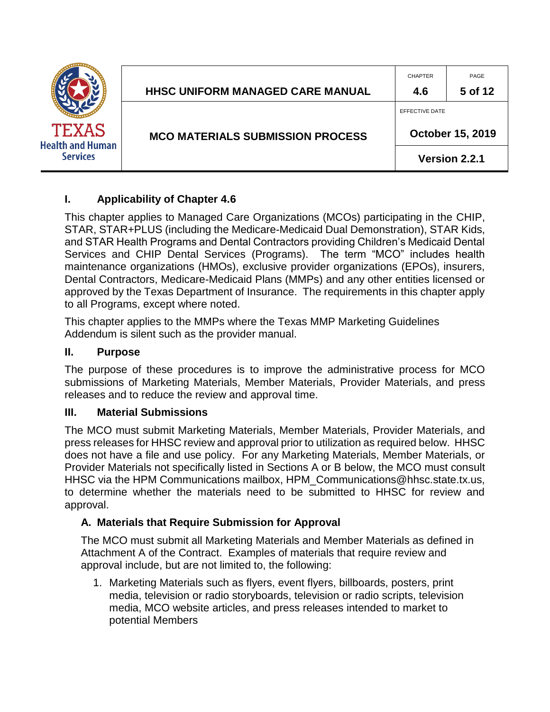|                                         | <b>HHSC UNIFORM MANAGED CARE MANUAL</b> | <b>CHAPTER</b><br>4.6 | PAGE<br>5 of 12         |
|-----------------------------------------|-----------------------------------------|-----------------------|-------------------------|
| <b>TEXAS</b><br><b>Health and Human</b> | <b>MCO MATERIALS SUBMISSION PROCESS</b> | EFFECTIVE DATE        | <b>October 15, 2019</b> |
| <b>Services</b>                         |                                         |                       | Version 2.2.1           |

## <span id="page-4-0"></span>**I. Applicability of Chapter 4.6**

This chapter applies to Managed Care Organizations (MCOs) participating in the CHIP, STAR, STAR+PLUS (including the Medicare-Medicaid Dual Demonstration), STAR Kids, and STAR Health Programs and Dental Contractors providing Children's Medicaid Dental Services and CHIP Dental Services (Programs). The term "MCO" includes health maintenance organizations (HMOs), exclusive provider organizations (EPOs), insurers, Dental Contractors, Medicare-Medicaid Plans (MMPs) and any other entities licensed or approved by the Texas Department of Insurance. The requirements in this chapter apply to all Programs, except where noted.

This chapter applies to the MMPs where the Texas MMP Marketing Guidelines Addendum is silent such as the provider manual.

## <span id="page-4-1"></span>**II. Purpose**

The purpose of these procedures is to improve the administrative process for MCO submissions of Marketing Materials, Member Materials, Provider Materials, and press releases and to reduce the review and approval time.

## <span id="page-4-2"></span>**III. Material Submissions**

The MCO must submit Marketing Materials, Member Materials, Provider Materials, and press releases for HHSC review and approval prior to utilization as required below. HHSC does not have a file and use policy. For any Marketing Materials, Member Materials, or Provider Materials not specifically listed in Sections A or B below, the MCO must consult HHSC via the HPM Communications mailbox, HPM\_Communications@hhsc.state.tx.us, to determine whether the materials need to be submitted to HHSC for review and approval.

## <span id="page-4-3"></span>**A. Materials that Require Submission for Approval**

The MCO must submit all Marketing Materials and Member Materials as defined in Attachment A of the Contract. Examples of materials that require review and approval include, but are not limited to, the following:

1. Marketing Materials such as flyers, event flyers, billboards, posters, print media, television or radio storyboards, television or radio scripts, television media, MCO website articles, and press releases intended to market to potential Members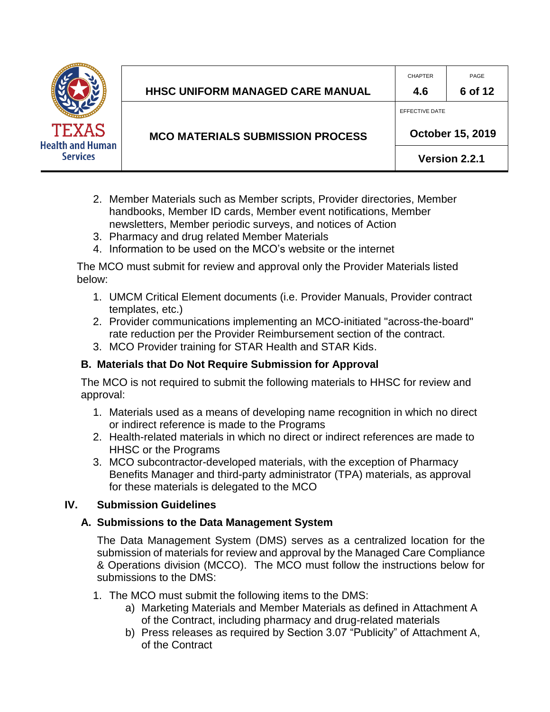

|                     | <b>HHSC UNIFORM MANAGED CARE MANUAL</b> | <b>CHAPTER</b><br>4.6              | PAGE<br>6 of 12 |
|---------------------|-----------------------------------------|------------------------------------|-----------------|
| AS                  | <b>MCO MATERIALS SUBMISSION PROCESS</b> | EFFECTIVE DATE<br>October 15, 2019 |                 |
| <b>Human</b><br>:es |                                         | Version 2.2.1                      |                 |

- 2. Member Materials such as Member scripts, Provider directories, Member handbooks, Member ID cards, Member event notifications, Member newsletters, Member periodic surveys, and notices of Action
- 3. Pharmacy and drug related Member Materials
- 4. Information to be used on the MCO's website or the internet

The MCO must submit for review and approval only the Provider Materials listed below:

- 1. UMCM Critical Element documents (i.e. Provider Manuals, Provider contract templates, etc.)
- 2. Provider communications implementing an MCO-initiated "across-the-board" rate reduction per the Provider Reimbursement section of the contract.
- 3. MCO Provider training for STAR Health and STAR Kids.

## <span id="page-5-0"></span>**B. Materials that Do Not Require Submission for Approval**

The MCO is not required to submit the following materials to HHSC for review and approval:

- 1. Materials used as a means of developing name recognition in which no direct or indirect reference is made to the Programs
- 2. Health-related materials in which no direct or indirect references are made to HHSC or the Programs
- 3. MCO subcontractor-developed materials, with the exception of Pharmacy Benefits Manager and third-party administrator (TPA) materials, as approval for these materials is delegated to the MCO

## <span id="page-5-2"></span><span id="page-5-1"></span>**IV. Submission Guidelines**

## **A. Submissions to the Data Management System**

The Data Management System (DMS) serves as a centralized location for the submission of materials for review and approval by the Managed Care Compliance & Operations division (MCCO). The MCO must follow the instructions below for submissions to the DMS:

- 1. The MCO must submit the following items to the DMS:
	- a) Marketing Materials and Member Materials as defined in Attachment A of the Contract, including pharmacy and drug-related materials
	- b) Press releases as required by Section 3.07 "Publicity" of Attachment A, of the Contract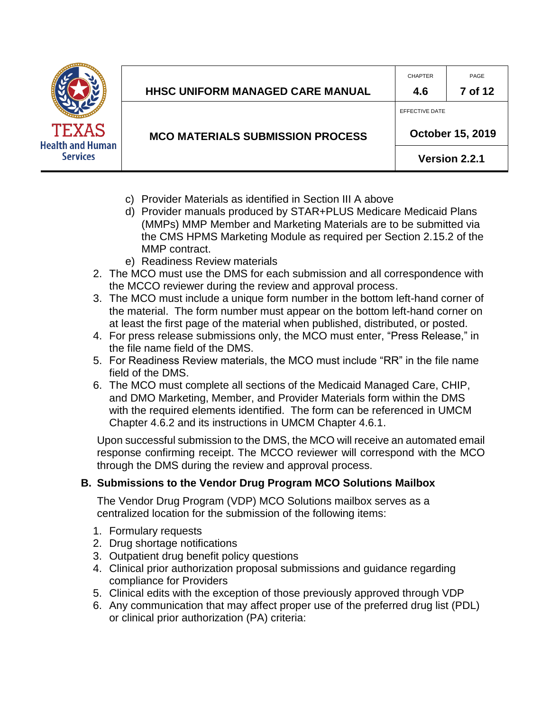|                                         |                                         | <b>CHAPTER</b> | PAGE                    |
|-----------------------------------------|-----------------------------------------|----------------|-------------------------|
|                                         | <b>HHSC UNIFORM MANAGED CARE MANUAL</b> | 4.6            | 7 of 12                 |
|                                         |                                         | EFFECTIVE DATE |                         |
| <b>TEXAS</b><br><b>Health and Human</b> | <b>MCO MATERIALS SUBMISSION PROCESS</b> |                | <b>October 15, 2019</b> |
| <b>Services</b>                         |                                         |                | Version 2.2.1           |

- c) Provider Materials as identified in Section III A above
- d) Provider manuals produced by STAR+PLUS Medicare Medicaid Plans (MMPs) MMP Member and Marketing Materials are to be submitted via the CMS HPMS Marketing Module as required per Section 2.15.2 of the MMP contract.
- e) Readiness Review materials
- 2. The MCO must use the DMS for each submission and all correspondence with the MCCO reviewer during the review and approval process.
- 3. The MCO must include a unique form number in the bottom left-hand corner of the material. The form number must appear on the bottom left-hand corner on at least the first page of the material when published, distributed, or posted.
- 4. For press release submissions only, the MCO must enter, "Press Release," in the file name field of the DMS.
- 5. For Readiness Review materials, the MCO must include "RR" in the file name field of the DMS.
- 6. The MCO must complete all sections of the Medicaid Managed Care, CHIP, and DMO Marketing, Member, and Provider Materials form within the DMS with the required elements identified. The form can be referenced in UMCM Chapter 4.6.2 and its instructions in UMCM Chapter 4.6.1.

Upon successful submission to the DMS, the MCO will receive an automated email response confirming receipt. The MCCO reviewer will correspond with the MCO through the DMS during the review and approval process.

## <span id="page-6-0"></span>**B. Submissions to the Vendor Drug Program MCO Solutions Mailbox**

The Vendor Drug Program (VDP) MCO Solutions mailbox serves as a centralized location for the submission of the following items:

- 1. Formulary requests
- 2. Drug shortage notifications
- 3. Outpatient drug benefit policy questions
- 4. Clinical prior authorization proposal submissions and guidance regarding compliance for Providers
- 5. Clinical edits with the exception of those previously approved through VDP
- 6. Any communication that may affect proper use of the preferred drug list (PDL) or clinical prior authorization (PA) criteria: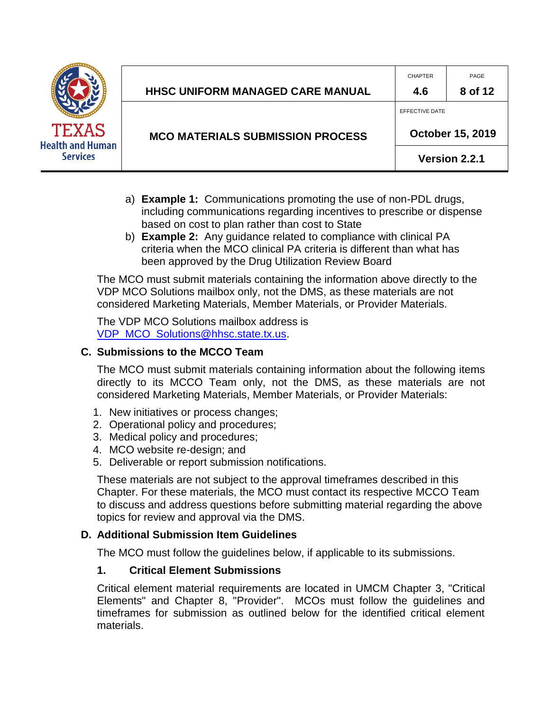

- a) **Example 1:** Communications promoting the use of non-PDL drugs, including communications regarding incentives to prescribe or dispense based on cost to plan rather than cost to State
- b) **Example 2:** Any guidance related to compliance with clinical PA criteria when the MCO clinical PA criteria is different than what has been approved by the Drug Utilization Review Board

The MCO must submit materials containing the information above directly to the VDP MCO Solutions mailbox only, not the DMS, as these materials are not considered Marketing Materials, Member Materials, or Provider Materials.

The VDP MCO Solutions mailbox address is VDP\_MCO\_Solutions@hhsc.state.tx.us.

#### <span id="page-7-0"></span>**C. Submissions to the MCCO Team**

The MCO must submit materials containing information about the following items directly to its MCCO Team only, not the DMS, as these materials are not considered Marketing Materials, Member Materials, or Provider Materials:

- 1. New initiatives or process changes;
- 2. Operational policy and procedures;
- 3. Medical policy and procedures;
- 4. MCO website re-design; and
- 5. Deliverable or report submission notifications.

These materials are not subject to the approval timeframes described in this Chapter. For these materials, the MCO must contact its respective MCCO Team to discuss and address questions before submitting material regarding the above topics for review and approval via the DMS.

## <span id="page-7-1"></span>**D. Additional Submission Item Guidelines**

The MCO must follow the guidelines below, if applicable to its submissions.

## <span id="page-7-2"></span>**1. Critical Element Submissions**

Critical element material requirements are located in UMCM Chapter 3, "Critical Elements" and Chapter 8, "Provider". MCOs must follow the guidelines and timeframes for submission as outlined below for the identified critical element materials.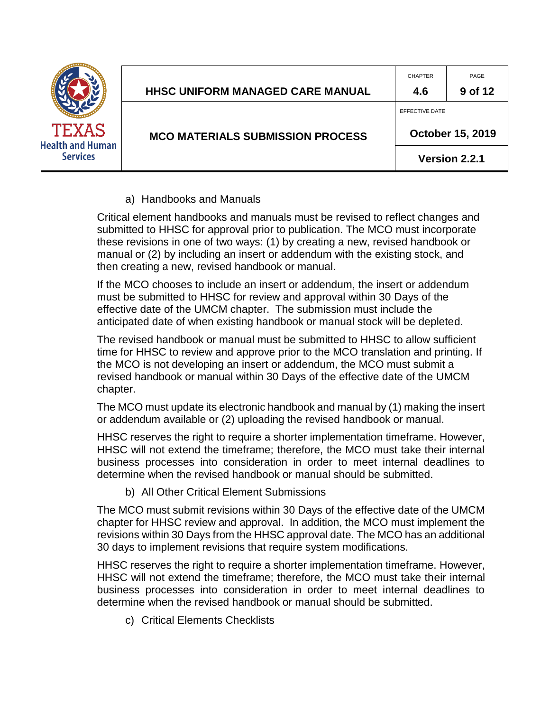|                                                            | HHSC UNIFORM MANAGED CARE MANUAL        | <b>CHAPTER</b><br>4.6 | PAGE<br>9 of 12         |
|------------------------------------------------------------|-----------------------------------------|-----------------------|-------------------------|
| <b>TEXAS</b><br><b>Health and Human</b><br><b>Services</b> | <b>MCO MATERIALS SUBMISSION PROCESS</b> | EFFECTIVE DATE        | <b>October 15, 2019</b> |
|                                                            |                                         |                       | Version 2.2.1           |

a) Handbooks and Manuals

Critical element handbooks and manuals must be revised to reflect changes and submitted to HHSC for approval prior to publication. The MCO must incorporate these revisions in one of two ways: (1) by creating a new, revised handbook or manual or (2) by including an insert or addendum with the existing stock, and then creating a new, revised handbook or manual.

If the MCO chooses to include an insert or addendum, the insert or addendum must be submitted to HHSC for review and approval within 30 Days of the effective date of the UMCM chapter. The submission must include the anticipated date of when existing handbook or manual stock will be depleted.

The revised handbook or manual must be submitted to HHSC to allow sufficient time for HHSC to review and approve prior to the MCO translation and printing. If the MCO is not developing an insert or addendum, the MCO must submit a revised handbook or manual within 30 Days of the effective date of the UMCM chapter.

The MCO must update its electronic handbook and manual by (1) making the insert or addendum available or (2) uploading the revised handbook or manual.

HHSC reserves the right to require a shorter implementation timeframe. However, HHSC will not extend the timeframe; therefore, the MCO must take their internal business processes into consideration in order to meet internal deadlines to determine when the revised handbook or manual should be submitted.

b) All Other Critical Element Submissions

The MCO must submit revisions within 30 Days of the effective date of the UMCM chapter for HHSC review and approval. In addition, the MCO must implement the revisions within 30 Days from the HHSC approval date. The MCO has an additional 30 days to implement revisions that require system modifications.

HHSC reserves the right to require a shorter implementation timeframe. However, HHSC will not extend the timeframe; therefore, the MCO must take their internal business processes into consideration in order to meet internal deadlines to determine when the revised handbook or manual should be submitted.

c) Critical Elements Checklists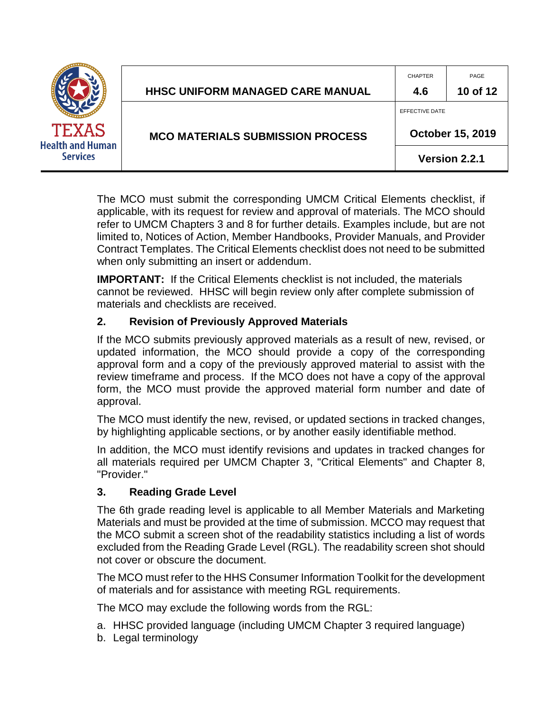| <b>TEXAS</b><br><b>Health and Human</b> | HHSC UNIFORM MANAGED CARE MANUAL        | <b>CHAPTER</b><br>4.6                     | PAGE<br>10 of 12 |
|-----------------------------------------|-----------------------------------------|-------------------------------------------|------------------|
|                                         | <b>MCO MATERIALS SUBMISSION PROCESS</b> | EFFECTIVE DATE<br><b>October 15, 2019</b> |                  |
| <b>Services</b>                         |                                         | Version 2.2.1                             |                  |

The MCO must submit the corresponding UMCM Critical Elements checklist, if applicable, with its request for review and approval of materials. The MCO should refer to UMCM Chapters 3 and 8 for further details. Examples include, but are not limited to, Notices of Action, Member Handbooks, Provider Manuals, and Provider Contract Templates. The Critical Elements checklist does not need to be submitted when only submitting an insert or addendum.

**IMPORTANT:** If the Critical Elements checklist is not included, the materials cannot be reviewed. HHSC will begin review only after complete submission of materials and checklists are received.

## <span id="page-9-0"></span>**2. Revision of Previously Approved Materials**

If the MCO submits previously approved materials as a result of new, revised, or updated information, the MCO should provide a copy of the corresponding approval form and a copy of the previously approved material to assist with the review timeframe and process. If the MCO does not have a copy of the approval form, the MCO must provide the approved material form number and date of approval.

The MCO must identify the new, revised, or updated sections in tracked changes, by highlighting applicable sections, or by another easily identifiable method.

In addition, the MCO must identify revisions and updates in tracked changes for all materials required per UMCM Chapter 3, "Critical Elements" and Chapter 8, "Provider."

## <span id="page-9-1"></span>**3. Reading Grade Level**

The 6th grade reading level is applicable to all Member Materials and Marketing Materials and must be provided at the time of submission. MCCO may request that the MCO submit a screen shot of the readability statistics including a list of words excluded from the Reading Grade Level (RGL). The readability screen shot should not cover or obscure the document.

The MCO must refer to the HHS Consumer Information Toolkit for the development of materials and for assistance with meeting RGL requirements.

The MCO may exclude the following words from the RGL:

- a. HHSC provided language (including UMCM Chapter 3 required language)
- b. Legal terminology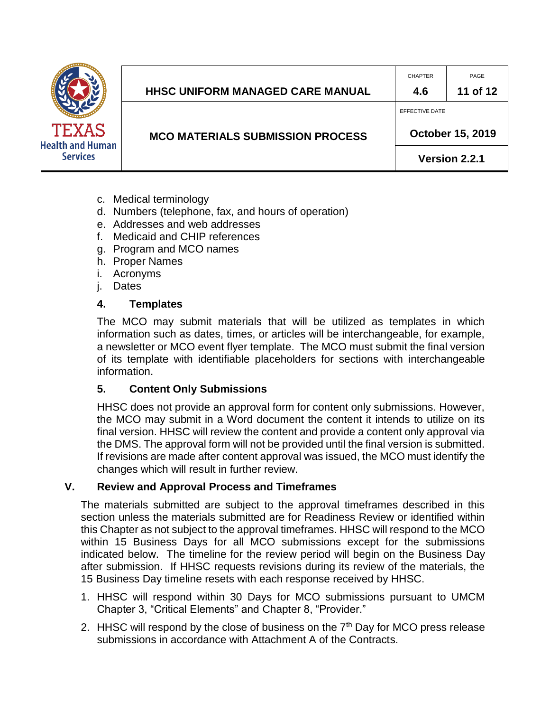

- c. Medical terminology
- d. Numbers (telephone, fax, and hours of operation)
- e. Addresses and web addresses
- f. Medicaid and CHIP references
- g. Program and MCO names
- h. Proper Names
- i. Acronyms
- j. Dates

#### <span id="page-10-0"></span>**4. Templates**

The MCO may submit materials that will be utilized as templates in which information such as dates, times, or articles will be interchangeable, for example, a newsletter or MCO event flyer template. The MCO must submit the final version of its template with identifiable placeholders for sections with interchangeable information.

CHAPTER PAGE

**October 15, 2019** 

**Version 2.2.1**

EFFECTIVE DATE

#### <span id="page-10-1"></span>**5. Content Only Submissions**

HHSC does not provide an approval form for content only submissions. However, the MCO may submit in a Word document the content it intends to utilize on its final version. HHSC will review the content and provide a content only approval via the DMS. The approval form will not be provided until the final version is submitted. If revisions are made after content approval was issued, the MCO must identify the changes which will result in further review.

#### <span id="page-10-2"></span>**V. Review and Approval Process and Timeframes**

The materials submitted are subject to the approval timeframes described in this section unless the materials submitted are for Readiness Review or identified within this Chapter as not subject to the approval timeframes. HHSC will respond to the MCO within 15 Business Days for all MCO submissions except for the submissions indicated below. The timeline for the review period will begin on the Business Day after submission. If HHSC requests revisions during its review of the materials, the 15 Business Day timeline resets with each response received by HHSC.

- 1. HHSC will respond within 30 Days for MCO submissions pursuant to UMCM Chapter 3, "Critical Elements" and Chapter 8, "Provider."
- 2. HHSC will respond by the close of business on the  $7<sup>th</sup>$  Day for MCO press release submissions in accordance with Attachment A of the Contracts.